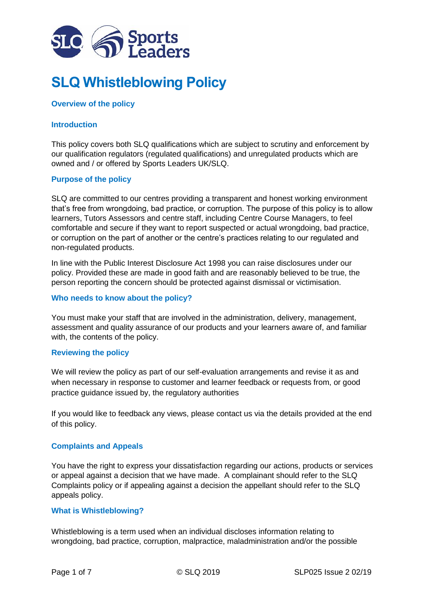

# **SLQ Whistleblowing Policy**

# **Overview of the policy**

# **Introduction**

This policy covers both SLQ qualifications which are subject to scrutiny and enforcement by our qualification regulators (regulated qualifications) and unregulated products which are owned and / or offered by Sports Leaders UK/SLQ.

### **Purpose of the policy**

SLQ are committed to our centres providing a transparent and honest working environment that's free from wrongdoing, bad practice, or corruption. The purpose of this policy is to allow learners, Tutors Assessors and centre staff, including Centre Course Managers, to feel comfortable and secure if they want to report suspected or actual wrongdoing, bad practice, or corruption on the part of another or the centre's practices relating to our regulated and non-regulated products.

In line with the Public Interest Disclosure Act 1998 you can raise disclosures under our policy. Provided these are made in good faith and are reasonably believed to be true, the person reporting the concern should be protected against dismissal or victimisation.

### **Who needs to know about the policy?**

You must make your staff that are involved in the administration, delivery, management, assessment and quality assurance of our products and your learners aware of, and familiar with, the contents of the policy.

#### **Reviewing the policy**

We will review the policy as part of our self-evaluation arrangements and revise it as and when necessary in response to customer and learner feedback or requests from, or good practice guidance issued by, the regulatory authorities

If you would like to feedback any views, please contact us via the details provided at the end of this policy.

### **Complaints and Appeals**

You have the right to express your dissatisfaction regarding our actions, products or services or appeal against a decision that we have made. A complainant should refer to the SLQ Complaints policy or if appealing against a decision the appellant should refer to the SLQ appeals policy.

### **What is Whistleblowing?**

Whistleblowing is a term used when an individual discloses information relating to wrongdoing, bad practice, corruption, malpractice, maladministration and/or the possible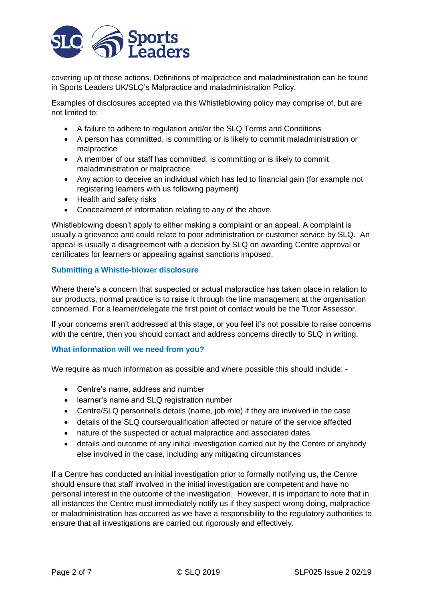

covering up of these actions. Definitions of malpractice and maladministration can be found in Sports Leaders UK/SLQ's Malpractice and maladministration Policy.

Examples of disclosures accepted via this Whistleblowing policy may comprise of, but are not limited to:

- A failure to adhere to regulation and/or the SLQ Terms and Conditions
- A person has committed, is committing or is likely to commit maladministration or malpractice
- A member of our staff has committed, is committing or is likely to commit maladministration or malpractice
- Any action to deceive an individual which has led to financial gain (for example not registering learners with us following payment)
- Health and safety risks
- Concealment of information relating to any of the above.

Whistleblowing doesn't apply to either making a complaint or an appeal. A complaint is usually a grievance and could relate to poor administration or customer service by SLQ. An appeal is usually a disagreement with a decision by SLQ on awarding Centre approval or certificates for learners or appealing against sanctions imposed.

# **Submitting a Whistle-blower disclosure**

Where there's a concern that suspected or actual malpractice has taken place in relation to our products, normal practice is to raise it through the line management at the organisation concerned. For a learner/delegate the first point of contact would be the Tutor Assessor.

If your concerns aren't addressed at this stage, or you feel it's not possible to raise concerns with the centre, then you should contact and address concerns directly to SLQ in writing.

### **What information will we need from you?**

We require as much information as possible and where possible this should include: -

- Centre's name, address and number
- learner's name and SLQ registration number
- Centre/SLQ personnel's details (name, job role) if they are involved in the case
- details of the SLQ course/qualification affected or nature of the service affected
- nature of the suspected or actual malpractice and associated dates
- details and outcome of any initial investigation carried out by the Centre or anybody else involved in the case, including any mitigating circumstances

If a Centre has conducted an initial investigation prior to formally notifying us, the Centre should ensure that staff involved in the initial investigation are competent and have no personal interest in the outcome of the investigation. However, it is important to note that in all instances the Centre must immediately notify us if they suspect wrong doing, malpractice or maladministration has occurred as we have a responsibility to the regulatory authorities to ensure that all investigations are carried out rigorously and effectively.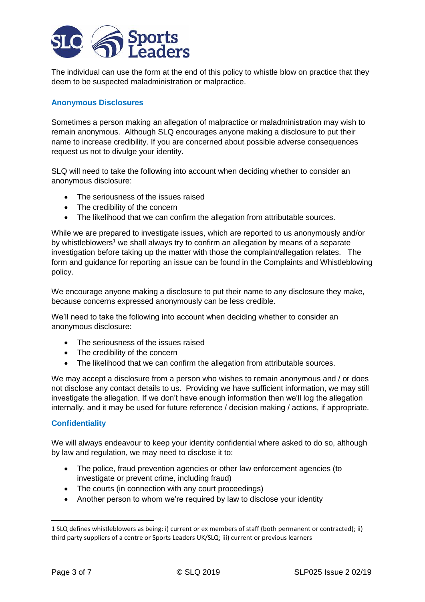

The individual can use the form at the end of this policy to whistle blow on practice that they deem to be suspected maladministration or malpractice.

# **Anonymous Disclosures**

Sometimes a person making an allegation of malpractice or maladministration may wish to remain anonymous. Although SLQ encourages anyone making a disclosure to put their name to increase credibility. If you are concerned about possible adverse consequences request us not to divulge your identity.

SLQ will need to take the following into account when deciding whether to consider an anonymous disclosure:

- The seriousness of the issues raised
- The credibility of the concern
- The likelihood that we can confirm the allegation from attributable sources.

While we are prepared to investigate issues, which are reported to us anonymously and/or by whistleblowers<sup>1</sup> we shall always try to confirm an allegation by means of a separate investigation before taking up the matter with those the complaint/allegation relates. The form and guidance for reporting an issue can be found in the Complaints and Whistleblowing policy.

We encourage anyone making a disclosure to put their name to any disclosure they make, because concerns expressed anonymously can be less credible.

We'll need to take the following into account when deciding whether to consider an anonymous disclosure:

- The seriousness of the issues raised
- The credibility of the concern
- The likelihood that we can confirm the allegation from attributable sources.

We may accept a disclosure from a person who wishes to remain anonymous and / or does not disclose any contact details to us. Providing we have sufficient information, we may still investigate the allegation. If we don't have enough information then we'll log the allegation internally, and it may be used for future reference / decision making / actions, if appropriate.

### **Confidentiality**

We will always endeavour to keep your identity confidential where asked to do so, although by law and regulation, we may need to disclose it to:

- The police, fraud prevention agencies or other law enforcement agencies (to investigate or prevent crime, including fraud)
- The courts (in connection with any court proceedings)
- Another person to whom we're required by law to disclose your identity

**.** 

<sup>1</sup> SLQ defines whistleblowers as being: i) current or ex members of staff (both permanent or contracted); ii) third party suppliers of a centre or Sports Leaders UK/SLQ; iii) current or previous learners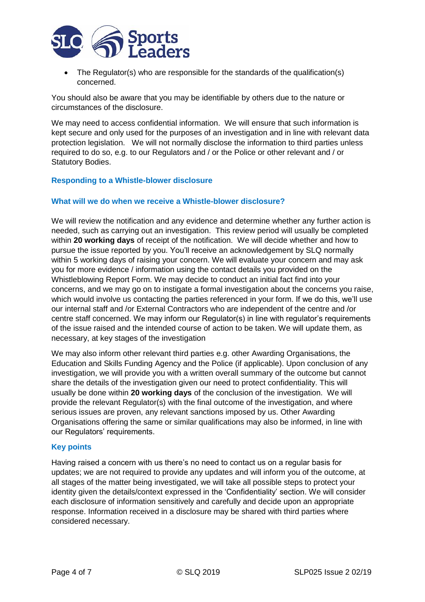

• The Regulator(s) who are responsible for the standards of the qualification(s) concerned.

You should also be aware that you may be identifiable by others due to the nature or circumstances of the disclosure.

We may need to access confidential information. We will ensure that such information is kept secure and only used for the purposes of an investigation and in line with relevant data protection legislation. We will not normally disclose the information to third parties unless required to do so, e.g. to our Regulators and / or the Police or other relevant and / or Statutory Bodies.

#### **Responding to a Whistle-blower disclosure**

#### **What will we do when we receive a Whistle-blower disclosure?**

We will review the notification and any evidence and determine whether any further action is needed, such as carrying out an investigation. This review period will usually be completed within **20 working days** of receipt of the notification. We will decide whether and how to pursue the issue reported by you. You'll receive an acknowledgement by SLQ normally within 5 working days of raising your concern. We will evaluate your concern and may ask you for more evidence / information using the contact details you provided on the Whistleblowing Report Form. We may decide to conduct an initial fact find into your concerns, and we may go on to instigate a formal investigation about the concerns you raise, which would involve us contacting the parties referenced in your form. If we do this, we'll use our internal staff and /or External Contractors who are independent of the centre and /or centre staff concerned. We may inform our Regulator(s) in line with regulator's requirements of the issue raised and the intended course of action to be taken. We will update them, as necessary, at key stages of the investigation

We may also inform other relevant third parties e.g. other Awarding Organisations, the Education and Skills Funding Agency and the Police (if applicable). Upon conclusion of any investigation, we will provide you with a written overall summary of the outcome but cannot share the details of the investigation given our need to protect confidentiality. This will usually be done within **20 working days** of the conclusion of the investigation. We will provide the relevant Regulator(s) with the final outcome of the investigation, and where serious issues are proven, any relevant sanctions imposed by us. Other Awarding Organisations offering the same or similar qualifications may also be informed, in line with our Regulators' requirements.

#### **Key points**

Having raised a concern with us there's no need to contact us on a regular basis for updates; we are not required to provide any updates and will inform you of the outcome, at all stages of the matter being investigated, we will take all possible steps to protect your identity given the details/context expressed in the 'Confidentiality' section. We will consider each disclosure of information sensitively and carefully and decide upon an appropriate response. Information received in a disclosure may be shared with third parties where considered necessary.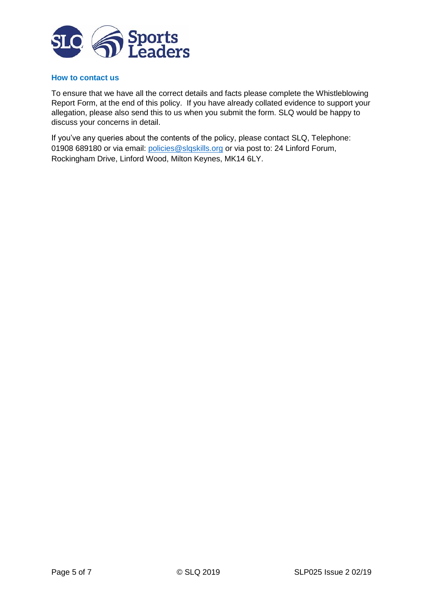

#### **How to contact us**

To ensure that we have all the correct details and facts please complete the Whistleblowing Report Form, at the end of this policy. If you have already collated evidence to support your allegation, please also send this to us when you submit the form. SLQ would be happy to discuss your concerns in detail.

If you've any queries about the contents of the policy, please contact SLQ, Telephone: 01908 689180 or via email: [policies@slqskills.org](mailto:policies@slqskills.org) or via post to: 24 Linford Forum, Rockingham Drive, Linford Wood, Milton Keynes, MK14 6LY.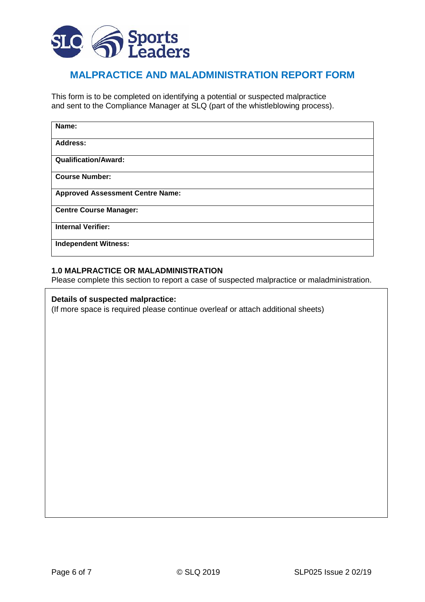

# **MALPRACTICE AND MALADMINISTRATION REPORT FORM**

This form is to be completed on identifying a potential or suspected malpractice and sent to the Compliance Manager at SLQ (part of the whistleblowing process).

| Name:                                   |
|-----------------------------------------|
| Address:                                |
| <b>Qualification/Award:</b>             |
| <b>Course Number:</b>                   |
| <b>Approved Assessment Centre Name:</b> |
| <b>Centre Course Manager:</b>           |
| <b>Internal Verifier:</b>               |
| <b>Independent Witness:</b>             |

### **1.0 MALPRACTICE OR MALADMINISTRATION**

Please complete this section to report a case of suspected malpractice or maladministration.

#### **Details of suspected malpractice:**

(If more space is required please continue overleaf or attach additional sheets)